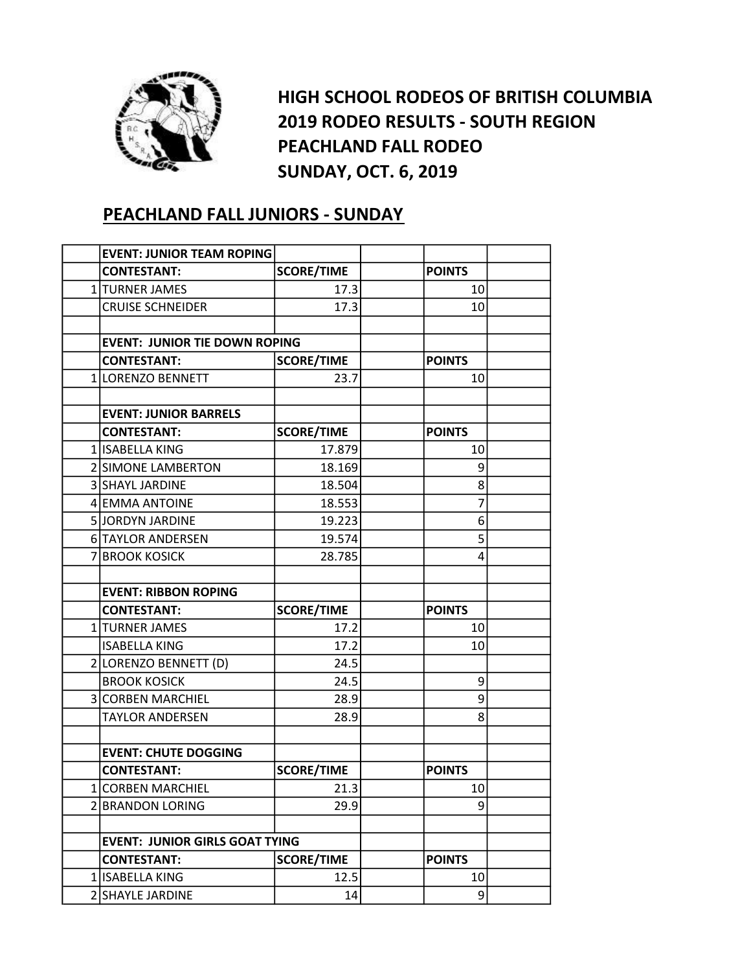

HIGH SCHOOL RODEOS OF BRITISH COLUMBIA 2019 RODEO RESULTS - SOUTH REGION PEACHLAND FALL RODEO SUNDAY, OCT. 6, 2019

## PEACHLAND FALL JUNIORS - SUNDAY

| <b>EVENT: JUNIOR TEAM ROPING</b>      |                   |               |  |
|---------------------------------------|-------------------|---------------|--|
| <b>CONTESTANT:</b>                    | <b>SCORE/TIME</b> | <b>POINTS</b> |  |
| 1 TURNER JAMES                        | 17.3              | 10            |  |
| <b>CRUISE SCHNEIDER</b>               | 17.3              | 10            |  |
|                                       |                   |               |  |
| <b>EVENT: JUNIOR TIE DOWN ROPING</b>  |                   |               |  |
| <b>CONTESTANT:</b>                    | <b>SCORE/TIME</b> | <b>POINTS</b> |  |
| 1 LORENZO BENNETT                     | 23.7              | 10            |  |
|                                       |                   |               |  |
| <b>EVENT: JUNIOR BARRELS</b>          |                   |               |  |
| <b>CONTESTANT:</b>                    | <b>SCORE/TIME</b> | <b>POINTS</b> |  |
| 1 ISABELLA KING                       | 17.879            | 10            |  |
| 2 SIMONE LAMBERTON                    | 18.169            | 9             |  |
| 3 SHAYL JARDINE                       | 18.504            | 8             |  |
| 4 EMMA ANTOINE                        | 18.553            | 7             |  |
| 5 JORDYN JARDINE                      | 19.223            | 6             |  |
| <b>6 TAYLOR ANDERSEN</b>              | 19.574            | 5             |  |
| 7 BROOK KOSICK                        | 28.785            | 4             |  |
|                                       |                   |               |  |
| <b>EVENT: RIBBON ROPING</b>           |                   |               |  |
| <b>CONTESTANT:</b>                    | <b>SCORE/TIME</b> | <b>POINTS</b> |  |
| 1 TURNER JAMES                        | 17.2              | 10            |  |
| <b>ISABELLA KING</b>                  | 17.2              | 10            |  |
| 2 LORENZO BENNETT (D)                 | 24.5              |               |  |
| <b>BROOK KOSICK</b>                   | 24.5              | 9             |  |
| 3 CORBEN MARCHIEL                     | 28.9              | 9             |  |
| <b>TAYLOR ANDERSEN</b>                | 28.9              | 8             |  |
|                                       |                   |               |  |
| <b>EVENT: CHUTE DOGGING</b>           |                   |               |  |
| <b>CONTESTANT:</b>                    | <b>SCORE/TIME</b> | <b>POINTS</b> |  |
| 1 CORBEN MARCHIEL                     | 21.3              | 10            |  |
| 2 BRANDON LORING                      | 29.9              | 9             |  |
|                                       |                   |               |  |
| <b>EVENT: JUNIOR GIRLS GOAT TYING</b> |                   |               |  |
| <b>CONTESTANT:</b>                    | <b>SCORE/TIME</b> | <b>POINTS</b> |  |
| 1 ISABELLA KING                       | 12.5              | 10            |  |
| 2 SHAYLE JARDINE                      | 14                | 9             |  |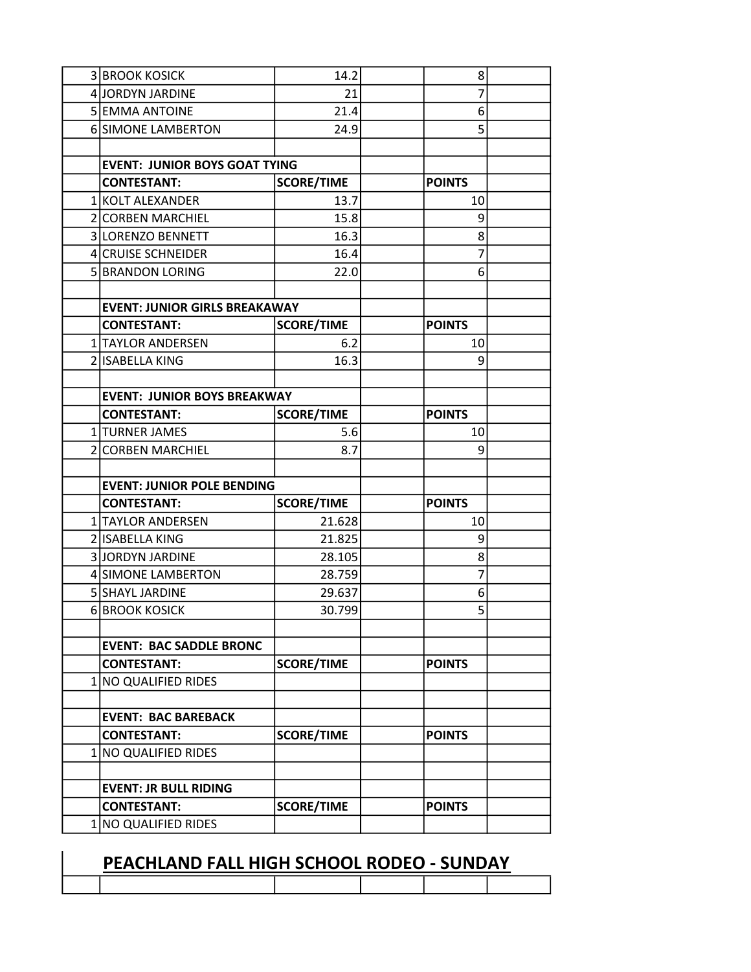| <b>3 BROOK KOSICK</b>                | 14.2              | 8              |  |
|--------------------------------------|-------------------|----------------|--|
| 4 JORDYN JARDINE                     | 21                | $\overline{7}$ |  |
| 5 EMMA ANTOINE                       | 21.4              | 6              |  |
| 6 SIMONE LAMBERTON                   | 24.9              | 5              |  |
|                                      |                   |                |  |
| <b>EVENT: JUNIOR BOYS GOAT TYING</b> |                   |                |  |
| <b>CONTESTANT:</b>                   | <b>SCORE/TIME</b> | <b>POINTS</b>  |  |
| 1 KOLT ALEXANDER                     | 13.7              | 10             |  |
| 2 CORBEN MARCHIEL                    | 15.8              | 9              |  |
| 3 LORENZO BENNETT                    | 16.3              | 8              |  |
| 4 CRUISE SCHNEIDER                   | 16.4              | 7              |  |
| 5 BRANDON LORING                     | 22.0              | 6              |  |
|                                      |                   |                |  |
| <b>EVENT: JUNIOR GIRLS BREAKAWAY</b> |                   |                |  |
| <b>CONTESTANT:</b>                   | <b>SCORE/TIME</b> | <b>POINTS</b>  |  |
| 1 TAYLOR ANDERSEN                    | 6.2               | 10             |  |
| 2 ISABELLA KING                      | 16.3              | 9              |  |
|                                      |                   |                |  |
| <b>EVENT: JUNIOR BOYS BREAKWAY</b>   |                   |                |  |
| <b>CONTESTANT:</b>                   | <b>SCORE/TIME</b> | <b>POINTS</b>  |  |
| 1 TURNER JAMES                       | 5.6               | 10             |  |
| 2 CORBEN MARCHIEL                    | 8.7               | 9              |  |
|                                      |                   |                |  |
| <b>EVENT: JUNIOR POLE BENDING</b>    |                   |                |  |
| <b>CONTESTANT:</b>                   | <b>SCORE/TIME</b> | <b>POINTS</b>  |  |
| 1 TAYLOR ANDERSEN                    | 21.628            | 10             |  |
| 2 ISABELLA KING                      | 21.825            | 9              |  |
| 3 JORDYN JARDINE                     | 28.105            | 8              |  |
| 4 SIMONE LAMBERTON                   | 28.759            | 7              |  |
| 5 SHAYL JARDINE                      | 29.637            | 6              |  |
| 6 BROOK KOSICK                       | 30.799            | 5              |  |
|                                      |                   |                |  |
| <b>EVENT: BAC SADDLE BRONC</b>       |                   |                |  |
| <b>CONTESTANT:</b>                   | <b>SCORE/TIME</b> | <b>POINTS</b>  |  |
| 1 NO QUALIFIED RIDES                 |                   |                |  |
| <b>EVENT: BAC BAREBACK</b>           |                   |                |  |
| <b>CONTESTANT:</b>                   | <b>SCORE/TIME</b> | <b>POINTS</b>  |  |
| 1 NO QUALIFIED RIDES                 |                   |                |  |
|                                      |                   |                |  |
| <b>EVENT: JR BULL RIDING</b>         |                   |                |  |
| <b>CONTESTANT:</b>                   | <b>SCORE/TIME</b> | <b>POINTS</b>  |  |
| 1 NO QUALIFIED RIDES                 |                   |                |  |
|                                      |                   |                |  |

## PEACHLAND FALL HIGH SCHOOL RODEO - SUNDAY

 $\overline{\phantom{a}}$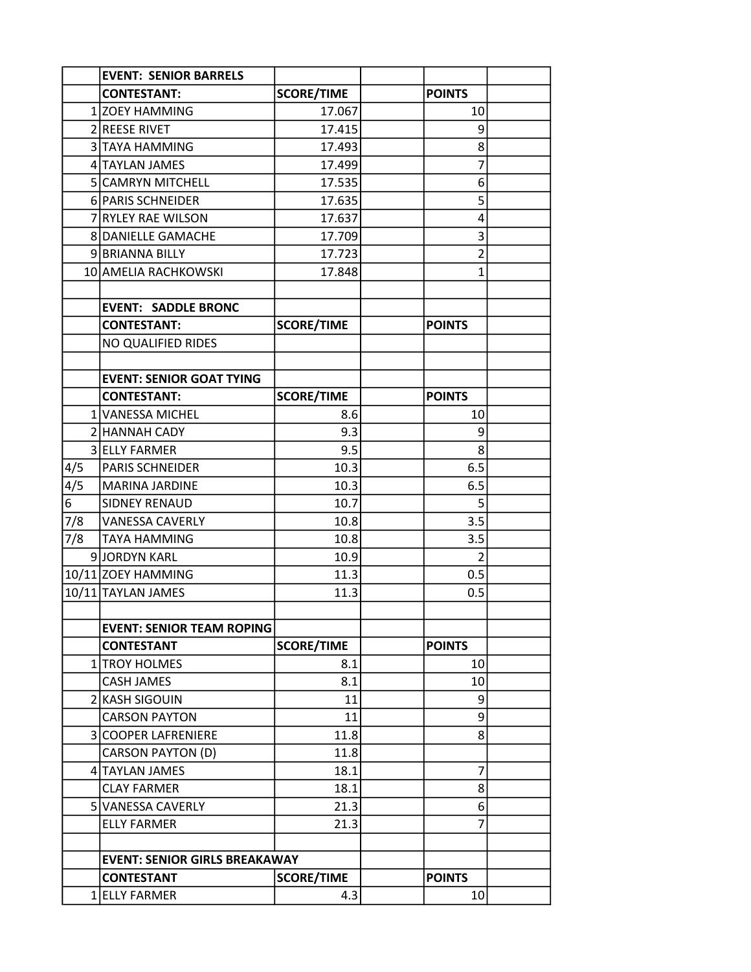|     | <b>EVENT: SENIOR BARRELS</b>         |                   |                |  |
|-----|--------------------------------------|-------------------|----------------|--|
|     | <b>CONTESTANT:</b>                   | <b>SCORE/TIME</b> | <b>POINTS</b>  |  |
|     | 1 ZOEY HAMMING                       | 17.067            | 10             |  |
|     | 2 REESE RIVET                        | 17.415            | 9              |  |
|     | 3 TAYA HAMMING                       | 17.493            | 8              |  |
|     | 4 TAYLAN JAMES                       | 17.499            | 7              |  |
|     | 5 CAMRYN MITCHELL                    | 17.535            | 6              |  |
|     | 6 PARIS SCHNEIDER                    | 17.635            | 5              |  |
|     | 7 RYLEY RAE WILSON                   | 17.637            | 4              |  |
|     | 8 DANIELLE GAMACHE                   | 17.709            | 3              |  |
|     | 9 BRIANNA BILLY                      | 17.723            | $\overline{2}$ |  |
|     | 10 AMELIA RACHKOWSKI                 | 17.848            | $\mathbf{1}$   |  |
|     |                                      |                   |                |  |
|     | <b>EVENT: SADDLE BRONC</b>           |                   |                |  |
|     | <b>CONTESTANT:</b>                   | <b>SCORE/TIME</b> | <b>POINTS</b>  |  |
|     | NO QUALIFIED RIDES                   |                   |                |  |
|     |                                      |                   |                |  |
|     | <b>EVENT: SENIOR GOAT TYING</b>      |                   |                |  |
|     | <b>CONTESTANT:</b>                   | <b>SCORE/TIME</b> | <b>POINTS</b>  |  |
|     | 1 VANESSA MICHEL                     | 8.6               | 10             |  |
|     | 2 HANNAH CADY                        | 9.3               | 9              |  |
|     | 3 ELLY FARMER                        | 9.5               | 8              |  |
| 4/5 | PARIS SCHNEIDER                      | 10.3              | 6.5            |  |
| 4/5 | <b>MARINA JARDINE</b>                | 10.3              | 6.5            |  |
| 6   | <b>SIDNEY RENAUD</b>                 | 10.7              | 5              |  |
| 7/8 | <b>VANESSA CAVERLY</b>               | 10.8              | 3.5            |  |
| 7/8 | <b>TAYA HAMMING</b>                  | 10.8              | 3.5            |  |
|     | 9JORDYN KARL                         | 10.9              | 2              |  |
|     | 10/11 ZOEY HAMMING                   | 11.3              | 0.5            |  |
|     | 10/11 TAYLAN JAMES                   | 11.3              | 0.5            |  |
|     |                                      |                   |                |  |
|     | <b>EVENT: SENIOR TEAM ROPING</b>     |                   |                |  |
|     | <b>CONTESTANT</b>                    | <b>SCORE/TIME</b> | <b>POINTS</b>  |  |
|     | 1 TROY HOLMES                        | 8.1               | 10             |  |
|     | <b>CASH JAMES</b>                    | 8.1               | 10             |  |
|     | 2 KASH SIGOUIN                       | 11                | 9              |  |
|     | <b>CARSON PAYTON</b>                 | 11                | 9              |  |
|     | 3 COOPER LAFRENIERE                  | 11.8              | 8              |  |
|     | CARSON PAYTON (D)                    | 11.8              |                |  |
|     | 4 TAYLAN JAMES                       | 18.1              | 7              |  |
|     | <b>CLAY FARMER</b>                   | 18.1              | 8              |  |
|     | 5 VANESSA CAVERLY                    | 21.3              | 6              |  |
|     | <b>ELLY FARMER</b>                   | 21.3              | 7              |  |
|     |                                      |                   |                |  |
|     | <b>EVENT: SENIOR GIRLS BREAKAWAY</b> |                   |                |  |
|     | <b>CONTESTANT</b>                    | <b>SCORE/TIME</b> | <b>POINTS</b>  |  |
|     | 1 ELLY FARMER                        | 4.3               | 10             |  |